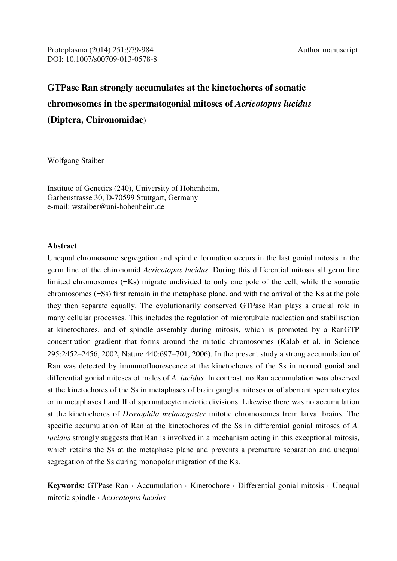Protoplasma (2014) 251:979-984 Author manuscript DOI: 10.1007/s00709-013-0578-8

# **GTPase Ran strongly accumulates at the kinetochores of somatic chromosomes in the spermatogonial mitoses of** *Acricotopus lucidus* **(Diptera, Chironomidae)**

Wolfgang Staiber

Institute of Genetics (240), University of Hohenheim, Garbenstrasse 30, D-70599 Stuttgart, Germany e-mail: wstaiber@uni-hohenheim.de

# **Abstract**

Unequal chromosome segregation and spindle formation occurs in the last gonial mitosis in the germ line of the chironomid *Acricotopus lucidus*. During this differential mitosis all germ line limited chromosomes (=Ks) migrate undivided to only one pole of the cell, while the somatic chromosomes (=Ss) first remain in the metaphase plane, and with the arrival of the Ks at the pole they then separate equally. The evolutionarily conserved GTPase Ran plays a crucial role in many cellular processes. This includes the regulation of microtubule nucleation and stabilisation at kinetochores, and of spindle assembly during mitosis, which is promoted by a RanGTP concentration gradient that forms around the mitotic chromosomes (Kalab et al. in Science 295:2452–2456, 2002, Nature 440:697–701, 2006). In the present study a strong accumulation of Ran was detected by immunofluorescence at the kinetochores of the Ss in normal gonial and differential gonial mitoses of males of *A. lucidus.* In contrast, no Ran accumulation was observed at the kinetochores of the Ss in metaphases of brain ganglia mitoses or of aberrant spermatocytes or in metaphases I and II of spermatocyte meiotic divisions. Likewise there was no accumulation at the kinetochores of *Drosophila melanogaster* mitotic chromosomes from larval brains. The specific accumulation of Ran at the kinetochores of the Ss in differential gonial mitoses of *A. lucidus* strongly suggests that Ran is involved in a mechanism acting in this exceptional mitosis, which retains the Ss at the metaphase plane and prevents a premature separation and unequal segregation of the Ss during monopolar migration of the Ks.

**Keywords:** GTPase Ran · Accumulation · Kinetochore · Differential gonial mitosis · Unequal mitotic spindle · *Acricotopus lucidus*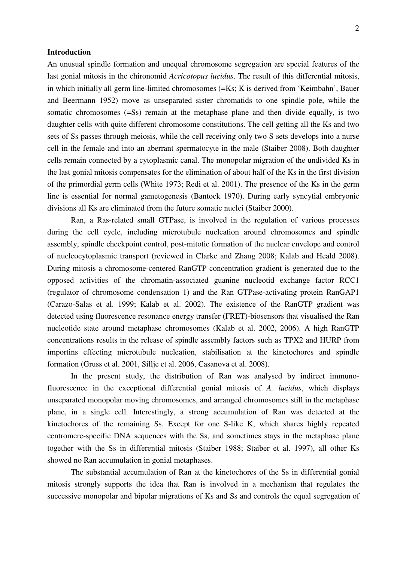### **Introduction**

An unusual spindle formation and unequal chromosome segregation are special features of the last gonial mitosis in the chironomid *Acricotopus lucidus*. The result of this differential mitosis, in which initially all germ line-limited chromosomes (=Ks; K is derived from 'Keimbahn', Bauer and Beermann 1952) move as unseparated sister chromatids to one spindle pole, while the somatic chromosomes (=Ss) remain at the metaphase plane and then divide equally, is two daughter cells with quite different chromosome constitutions. The cell getting all the Ks and two sets of Ss passes through meiosis, while the cell receiving only two S sets develops into a nurse cell in the female and into an aberrant spermatocyte in the male (Staiber 2008). Both daughter cells remain connected by a cytoplasmic canal. The monopolar migration of the undivided Ks in the last gonial mitosis compensates for the elimination of about half of the Ks in the first division of the primordial germ cells (White 1973; Redi et al. 2001). The presence of the Ks in the germ line is essential for normal gametogenesis (Bantock 1970). During early syncytial embryonic divisions all Ks are eliminated from the future somatic nuclei (Staiber 2000).

 Ran, a Ras-related small GTPase, is involved in the regulation of various processes during the cell cycle, including microtubule nucleation around chromosomes and spindle assembly, spindle checkpoint control, post-mitotic formation of the nuclear envelope and control of nucleocytoplasmic transport (reviewed in Clarke and Zhang 2008; Kalab and Heald 2008). During mitosis a chromosome-centered RanGTP concentration gradient is generated due to the opposed activities of the chromatin-associated guanine nucleotid exchange factor RCC1 (regulator of chromosome condensation 1) and the Ran GTPase-activating protein RanGAP1 (Carazo-Salas et al. 1999; Kalab et al. 2002). The existence of the RanGTP gradient was detected using fluorescence resonance energy transfer (FRET)-biosensors that visualised the Ran nucleotide state around metaphase chromosomes (Kalab et al. 2002, 2006). A high RanGTP concentrations results in the release of spindle assembly factors such as TPX2 and HURP from importins effecting microtubule nucleation, stabilisation at the kinetochores and spindle formation (Gruss et al. 2001, Sillje et al. 2006, Casanova et al. 2008).

 In the present study, the distribution of Ran was analysed by indirect immunofluorescence in the exceptional differential gonial mitosis of *A. lucidus*, which displays unseparated monopolar moving chromosomes, and arranged chromosomes still in the metaphase plane, in a single cell. Interestingly, a strong accumulation of Ran was detected at the kinetochores of the remaining Ss. Except for one S-like K, which shares highly repeated centromere-specific DNA sequences with the Ss, and sometimes stays in the metaphase plane together with the Ss in differential mitosis (Staiber 1988; Staiber et al. 1997), all other Ks showed no Ran accumulation in gonial metaphases.

 The substantial accumulation of Ran at the kinetochores of the Ss in differential gonial mitosis strongly supports the idea that Ran is involved in a mechanism that regulates the successive monopolar and bipolar migrations of Ks and Ss and controls the equal segregation of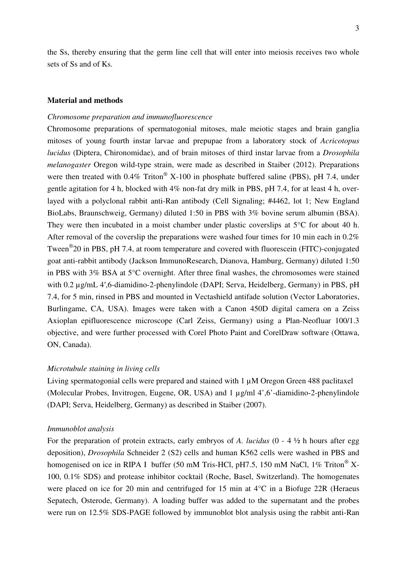the Ss, thereby ensuring that the germ line cell that will enter into meiosis receives two whole sets of Ss and of Ks.

# **Material and methods**

## *Chromosome preparation and immunofluorescence*

Chromosome preparations of spermatogonial mitoses, male meiotic stages and brain ganglia mitoses of young fourth instar larvae and prepupae from a laboratory stock of *Acricotopus lucidus* (Diptera, Chironomidae), and of brain mitoses of third instar larvae from a *Drosophila melanogaster* Oregon wild-type strain, were made as described in Staiber (2012). Preparations were then treated with  $0.4\%$  Triton<sup>®</sup> X-100 in phosphate buffered saline (PBS), pH 7.4, under gentle agitation for 4 h, blocked with 4% non-fat dry milk in PBS, pH 7.4, for at least 4 h, overlayed with a polyclonal rabbit anti-Ran antibody (Cell Signaling; #4462, lot 1; New England BioLabs, Braunschweig, Germany) diluted 1:50 in PBS with 3% bovine serum albumin (BSA). They were then incubated in a moist chamber under plastic coverslips at 5°C for about 40 h. After removal of the coverslip the preparations were washed four times for 10 min each in 0.2% Tween<sup>®</sup>20 in PBS, pH 7.4, at room temperature and covered with fluorescein (FITC)-conjugated goat anti-rabbit antibody (Jackson ImmunoResearch, Dianova, Hamburg, Germany) diluted 1:50 in PBS with 3% BSA at 5°C overnight. After three final washes, the chromosomes were stained with 0.2  $\mu$ g/mL 4',6-diamidino-2-phenylindole (DAPI; Serva, Heidelberg, Germany) in PBS, pH 7.4, for 5 min, rinsed in PBS and mounted in Vectashield antifade solution (Vector Laboratories, Burlingame, CA, USA). Images were taken with a Canon 450D digital camera on a Zeiss Axioplan epifluorescence microscope (Carl Zeiss, Germany) using a Plan-Neofluar 100/1.3 objective, and were further processed with Corel Photo Paint and CorelDraw software (Ottawa, ON, Canada).

#### *Microtubule staining in living cells*

Living spermatogonial cells were prepared and stained with 1  $\mu$ M Oregon Green 488 paclitaxel (Molecular Probes, Invitrogen, Eugene, OR, USA) and 1 µg/ml 4',6'-diamidino-2-phenylindole (DAPI; Serva, Heidelberg, Germany) as described in Staiber (2007).

#### *Immunoblot analysis*

For the preparation of protein extracts, early embryos of *A. lucidus* (0 - 4 ½ h hours after egg deposition), *Drosophila* Schneider 2 (S2) cells and human K562 cells were washed in PBS and homogenised on ice in RIPA I buffer (50 mM Tris-HCl, pH7.5, 150 mM NaCl, 1% Triton<sup>®</sup> X-100, 0.1% SDS) and protease inhibitor cocktail (Roche, Basel, Switzerland). The homogenates were placed on ice for 20 min and centrifuged for 15 min at 4°C in a Biofuge 22R (Heraeus Sepatech, Osterode, Germany). A loading buffer was added to the supernatant and the probes were run on 12.5% SDS-PAGE followed by immunoblot blot analysis using the rabbit anti-Ran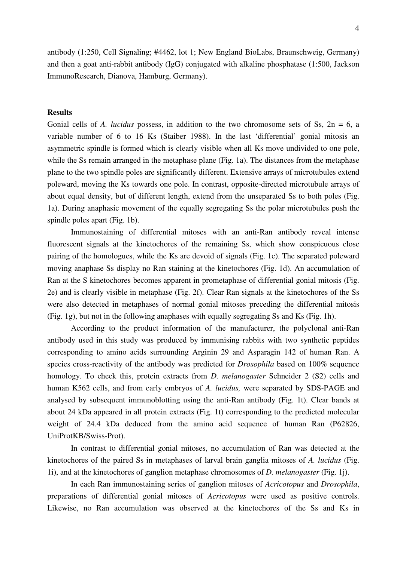antibody (1:250, Cell Signaling; #4462, lot 1; New England BioLabs, Braunschweig, Germany) and then a goat anti-rabbit antibody (IgG) conjugated with alkaline phosphatase (1:500, Jackson ImmunoResearch, Dianova, Hamburg, Germany).

# **Results**

Gonial cells of *A. lucidus* possess, in addition to the two chromosome sets of Ss,  $2n = 6$ , a variable number of 6 to 16 Ks (Staiber 1988). In the last 'differential' gonial mitosis an asymmetric spindle is formed which is clearly visible when all Ks move undivided to one pole, while the Ss remain arranged in the metaphase plane (Fig. 1a). The distances from the metaphase plane to the two spindle poles are significantly different. Extensive arrays of microtubules extend poleward, moving the Ks towards one pole. In contrast, opposite-directed microtubule arrays of about equal density, but of different length, extend from the unseparated Ss to both poles (Fig. 1a). During anaphasic movement of the equally segregating Ss the polar microtubules push the spindle poles apart (Fig. 1b).

 Immunostaining of differential mitoses with an anti-Ran antibody reveal intense fluorescent signals at the kinetochores of the remaining Ss, which show conspicuous close pairing of the homologues, while the Ks are devoid of signals (Fig. 1c). The separated poleward moving anaphase Ss display no Ran staining at the kinetochores (Fig. 1d). An accumulation of Ran at the S kinetochores becomes apparent in prometaphase of differential gonial mitosis (Fig. 2e) and is clearly visible in metaphase (Fig. 2f). Clear Ran signals at the kinetochores of the Ss were also detected in metaphases of normal gonial mitoses preceding the differential mitosis (Fig. 1g), but not in the following anaphases with equally segregating Ss and Ks (Fig. 1h).

 According to the product information of the manufacturer, the polyclonal anti-Ran antibody used in this study was produced by immunising rabbits with two synthetic peptides corresponding to amino acids surrounding Arginin 29 and Asparagin 142 of human Ran. A species cross-reactivity of the antibody was predicted for *Drosophila* based on 100% sequence homology. To check this, protein extracts from *D. melanogaster* Schneider 2 (S2) cells and human K562 cells, and from early embryos of *A. lucidus,* were separated by SDS-PAGE and analysed by subsequent immunoblotting using the anti-Ran antibody (Fig. 1t). Clear bands at about 24 kDa appeared in all protein extracts (Fig. 1t) corresponding to the predicted molecular weight of 24.4 kDa deduced from the amino acid sequence of human Ran (P62826, UniProtKB/Swiss-Prot).

 In contrast to differential gonial mitoses, no accumulation of Ran was detected at the kinetochores of the paired Ss in metaphases of larval brain ganglia mitoses of *A. lucidus* (Fig. 1i), and at the kinetochores of ganglion metaphase chromosomes of *D. melanogaster* (Fig. 1j).

 In each Ran immunostaining series of ganglion mitoses of *Acricotopus* and *Drosophila*, preparations of differential gonial mitoses of *Acricotopus* were used as positive controls. Likewise, no Ran accumulation was observed at the kinetochores of the Ss and Ks in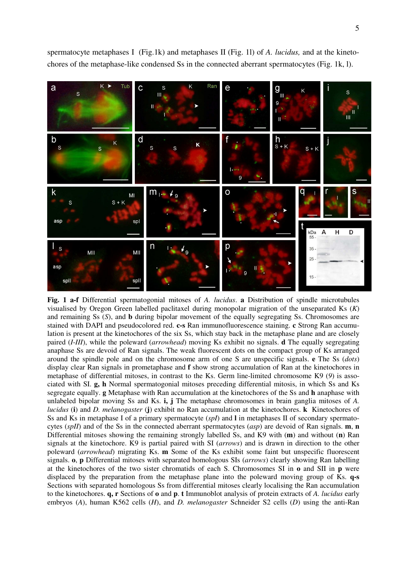spermatocyte metaphases I (Fig.1k) and metaphases II (Fig. 1l) of *A. lucidus,* and at the kinetochores of the metaphase-like condensed Ss in the connected aberrant spermatocytes (Fig. 1k, l).



**Fig. 1 a-f** Differential spermatogonial mitoses of *A. lucidus*. **a** Distribution of spindle microtubules visualised by Oregon Green labelled paclitaxel during monopolar migration of the unseparated Ks (*K*) and remaining Ss (*S*), and **b** during bipolar movement of the equally segregating Ss. Chromosomes are stained with DAPI and pseudocolored red. **c-s** Ran immunofluorescence staining. **c** Strong Ran accumulation is present at the kinetochores of the six Ss, which stay back in the metaphase plane and are closely paired (*I*-*III*), while the poleward (*arrowhead*) moving Ks exhibit no signals. **d** The equally segregating anaphase Ss are devoid of Ran signals. The weak fluorescent dots on the compact group of Ks arranged around the spindle pole and on the chromosome arm of one S are unspecific signals. **e** The Ss (*dots*) display clear Ran signals in prometaphase and **f** show strong accumulation of Ran at the kinetochores in metaphase of differential mitoses, in contrast to the Ks. Germ line-limited chromosome K9 (*9*) is associated with SI. **g, h** Normal spermatogonial mitoses preceding differential mitosis, in which Ss and Ks segregate equally. **g** Metaphase with Ran accumulation at the kinetochores of the Ss and **h** anaphase with unlabeled bipolar moving Ss and Ks. **i, j** The metaphase chromosomes in brain ganglia mitoses of *A. lucidus* (**i**) and *D. melanogaster* (**j**) exhibit no Ran accumulation at the kinetochores. **k** Kinetochores of Ss and Ks in metaphase I of a primary spermatocyte (*spI*) and **l** in metaphases II of secondary spermatocytes (*spII*) and of the Ss in the connected aberrant spermatocytes (*asp*) are devoid of Ran signals. **m**, **n** Differential mitoses showing the remaining strongly labelled Ss, and K9 with (**m**) and without (**n**) Ran signals at the kinetochore. K9 is partial paired with SI (*arrows*) and is drawn in direction to the other poleward (*arrowhead*) migrating Ks. **m** Some of the Ks exhibit some faint but unspecific fluorescent signals. **o**, **p** Differential mitoses with separated homologous SIs (*arrows*) clearly showing Ran labelling at the kinetochores of the two sister chromatids of each S. Chromosomes SI in **o** and SII in **p** were displaced by the preparation from the metaphase plane into the poleward moving group of Ks. **q-s** Sections with separated homologous Ss from differential mitoses clearly localising the Ran accumulation to the kinetochores. **q, r** Sections of **o** and **p**. **t** Immunoblot analysis of protein extracts of *A. lucidus* early embryos (*A*), human K562 cells (*H*), and *D. melanogaster* Schneider S2 cells (*D*) using the anti-Ran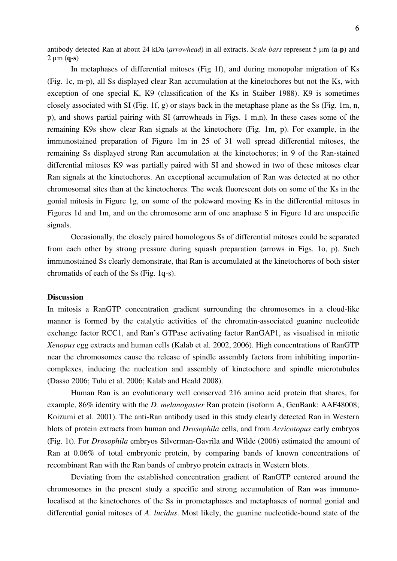6

antibody detected Ran at about 24 kDa (*arrowhead*) in all extracts. *Scale bars* represent 5 µm (**a**-**p**) and  $2 \mu m$  (q-s)

 In metaphases of differential mitoses (Fig 1f), and during monopolar migration of Ks (Fig. 1c, m-p), all Ss displayed clear Ran accumulation at the kinetochores but not the Ks, with exception of one special K, K9 (classification of the Ks in Staiber 1988). K9 is sometimes closely associated with SI (Fig. 1f, g) or stays back in the metaphase plane as the Ss (Fig. 1m, n, p), and shows partial pairing with SI (arrowheads in Figs. 1 m,n). In these cases some of the remaining K9s show clear Ran signals at the kinetochore (Fig. 1m, p). For example, in the immunostained preparation of Figure 1m in 25 of 31 well spread differential mitoses, the remaining Ss displayed strong Ran accumulation at the kinetochores; in 9 of the Ran-stained differential mitoses K9 was partially paired with SI and showed in two of these mitoses clear Ran signals at the kinetochores. An exceptional accumulation of Ran was detected at no other chromosomal sites than at the kinetochores. The weak fluorescent dots on some of the Ks in the gonial mitosis in Figure 1g, on some of the poleward moving Ks in the differential mitoses in Figures 1d and 1m, and on the chromosome arm of one anaphase S in Figure 1d are unspecific signals.

 Occasionally, the closely paired homologous Ss of differential mitoses could be separated from each other by strong pressure during squash preparation (arrows in Figs. 1o, p). Such immunostained Ss clearly demonstrate, that Ran is accumulated at the kinetochores of both sister chromatids of each of the Ss (Fig. 1q-s).

# **Discussion**

In mitosis a RanGTP concentration gradient surrounding the chromosomes in a cloud-like manner is formed by the catalytic activities of the chromatin-associated guanine nucleotide exchange factor RCC1, and Ran's GTPase activating factor RanGAP1, as visualised in mitotic *Xenopus* egg extracts and human cells (Kalab et al*.* 2002, 2006). High concentrations of RanGTP near the chromosomes cause the release of spindle assembly factors from inhibiting importincomplexes, inducing the nucleation and assembly of kinetochore and spindle microtubules (Dasso 2006; Tulu et al. 2006; Kalab and Heald 2008).

 Human Ran is an evolutionary well conserved 216 amino acid protein that shares, for example, 86% identity with the *D. melanogaster* Ran protein (isoform A, GenBank: AAF48008; Koizumi et al. 2001). The anti-Ran antibody used in this study clearly detected Ran in Western blots of protein extracts from human and *Drosophila* cells, and from *Acricotopus* early embryos (Fig. 1t). For *Drosophila* embryos Silverman-Gavrila and Wilde (2006) estimated the amount of Ran at 0.06% of total embryonic protein, by comparing bands of known concentrations of recombinant Ran with the Ran bands of embryo protein extracts in Western blots.

 Deviating from the established concentration gradient of RanGTP centered around the chromosomes in the present study a specific and strong accumulation of Ran was immunolocalised at the kinetochores of the Ss in prometaphases and metaphases of normal gonial and differential gonial mitoses of *A. lucidus*. Most likely, the guanine nucleotide-bound state of the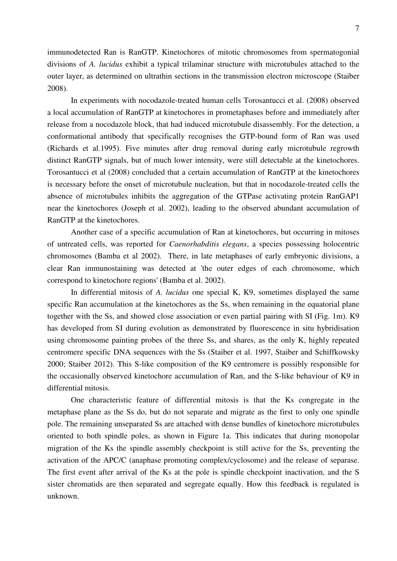7

immunodetected Ran is RanGTP. Kinetochores of mitotic chromosomes from spermatogonial divisions of *A. lucidus* exhibit a typical trilaminar structure with microtubules attached to the outer layer, as determined on ultrathin sections in the transmission electron microscope (Staiber 2008).

 In experiments with nocodazole-treated human cells Torosantucci et al. (2008) observed a local accumulation of RanGTP at kinetochores in prometaphases before and immediately after release from a nocodazole block, that had induced microtubule disassembly. For the detection, a conformational antibody that specifically recognises the GTP-bound form of Ran was used (Richards et al.1995). Five minutes after drug removal during early microtubule regrowth distinct RanGTP signals, but of much lower intensity, were still detectable at the kinetochores. Torosantucci et al (2008) concluded that a certain accumulation of RanGTP at the kinetochores is necessary before the onset of microtubule nucleation, but that in nocodazole-treated cells the absence of microtubules inhibits the aggregation of the GTPase activating protein RanGAP1 near the kinetochores (Joseph et al. 2002), leading to the observed abundant accumulation of RanGTP at the kinetochores.

 Another case of a specific accumulation of Ran at kinetochores, but occurring in mitoses of untreated cells, was reported for *Caenorhabditis elegans*, a species possessing holocentric chromosomes (Bamba et al 2002). There, in late metaphases of early embryonic divisions, a clear Ran immunostaining was detected at 'the outer edges of each chromosome, which correspond to kinetochore regions' (Bamba et al. 2002).

 In differential mitosis of *A. lucidus* one special K, K9, sometimes displayed the same specific Ran accumulation at the kinetochores as the Ss, when remaining in the equatorial plane together with the Ss, and showed close association or even partial pairing with SI (Fig. 1m). K9 has developed from SI during evolution as demonstrated by fluorescence in situ hybridisation using chromosome painting probes of the three Ss, and shares, as the only K, highly repeated centromere specific DNA sequences with the Ss (Staiber et al. 1997, Staiber and Schiffkowsky 2000; Staiber 2012). This S-like composition of the K9 centromere is possibly responsible for the occasionally observed kinetochore accumulation of Ran, and the S-like behaviour of K9 in differential mitosis.

 One characteristic feature of differential mitosis is that the Ks congregate in the metaphase plane as the Ss do, but do not separate and migrate as the first to only one spindle pole. The remaining unseparated Ss are attached with dense bundles of kinetochore microtubules oriented to both spindle poles, as shown in Figure 1a. This indicates that during monopolar migration of the Ks the spindle assembly checkpoint is still active for the Ss, preventing the activation of the APC/C (anaphase promoting complex/cyclosome) and the release of separase. The first event after arrival of the Ks at the pole is spindle checkpoint inactivation, and the S sister chromatids are then separated and segregate equally. How this feedback is regulated is unknown.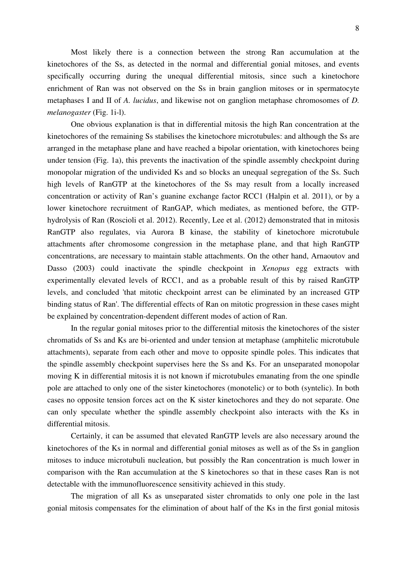Most likely there is a connection between the strong Ran accumulation at the kinetochores of the Ss, as detected in the normal and differential gonial mitoses, and events specifically occurring during the unequal differential mitosis, since such a kinetochore enrichment of Ran was not observed on the Ss in brain ganglion mitoses or in spermatocyte metaphases I and II of *A. lucidus*, and likewise not on ganglion metaphase chromosomes of *D. melanogaster* (Fig. 1i-l).

 One obvious explanation is that in differential mitosis the high Ran concentration at the kinetochores of the remaining Ss stabilises the kinetochore microtubules: and although the Ss are arranged in the metaphase plane and have reached a bipolar orientation, with kinetochores being under tension (Fig. 1a), this prevents the inactivation of the spindle assembly checkpoint during monopolar migration of the undivided Ks and so blocks an unequal segregation of the Ss. Such high levels of RanGTP at the kinetochores of the Ss may result from a locally increased concentration or activity of Ran's guanine exchange factor RCC1 (Halpin et al. 2011), or by a lower kinetochore recruitment of RanGAP, which mediates, as mentioned before, the GTPhydrolysis of Ran (Roscioli et al. 2012). Recently, Lee et al. (2012) demonstrated that in mitosis RanGTP also regulates, via Aurora B kinase, the stability of kinetochore microtubule attachments after chromosome congression in the metaphase plane, and that high RanGTP concentrations, are necessary to maintain stable attachments. On the other hand, Arnaoutov and Dasso (2003) could inactivate the spindle checkpoint in *Xenopus* egg extracts with experimentally elevated levels of RCC1, and as a probable result of this by raised RanGTP levels, and concluded 'that mitotic checkpoint arrest can be eliminated by an increased GTP binding status of Ran'. The differential effects of Ran on mitotic progression in these cases might be explained by concentration-dependent different modes of action of Ran.

 In the regular gonial mitoses prior to the differential mitosis the kinetochores of the sister chromatids of Ss and Ks are bi-oriented and under tension at metaphase (amphitelic microtubule attachments), separate from each other and move to opposite spindle poles. This indicates that the spindle assembly checkpoint supervises here the Ss and Ks. For an unseparated monopolar moving K in differential mitosis it is not known if microtubules emanating from the one spindle pole are attached to only one of the sister kinetochores (monotelic) or to both (syntelic). In both cases no opposite tension forces act on the K sister kinetochores and they do not separate. One can only speculate whether the spindle assembly checkpoint also interacts with the Ks in differential mitosis.

 Certainly, it can be assumed that elevated RanGTP levels are also necessary around the kinetochores of the Ks in normal and differential gonial mitoses as well as of the Ss in ganglion mitoses to induce microtubuli nucleation, but possibly the Ran concentration is much lower in comparison with the Ran accumulation at the S kinetochores so that in these cases Ran is not detectable with the immunofluorescence sensitivity achieved in this study.

 The migration of all Ks as unseparated sister chromatids to only one pole in the last gonial mitosis compensates for the elimination of about half of the Ks in the first gonial mitosis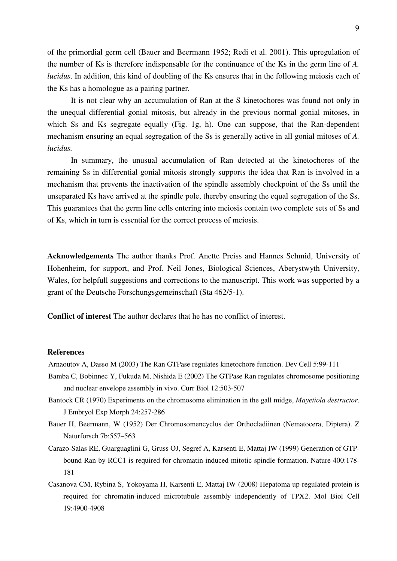of the primordial germ cell (Bauer and Beermann 1952; Redi et al. 2001). This upregulation of the number of Ks is therefore indispensable for the continuance of the Ks in the germ line of *A. lucidus*. In addition, this kind of doubling of the Ks ensures that in the following meiosis each of the Ks has a homologue as a pairing partner.

 It is not clear why an accumulation of Ran at the S kinetochores was found not only in the unequal differential gonial mitosis, but already in the previous normal gonial mitoses, in which Ss and Ks segregate equally (Fig. 1g, h). One can suppose, that the Ran-dependent mechanism ensuring an equal segregation of the Ss is generally active in all gonial mitoses of *A. lucidus.*

 In summary, the unusual accumulation of Ran detected at the kinetochores of the remaining Ss in differential gonial mitosis strongly supports the idea that Ran is involved in a mechanism that prevents the inactivation of the spindle assembly checkpoint of the Ss until the unseparated Ks have arrived at the spindle pole, thereby ensuring the equal segregation of the Ss. This guarantees that the germ line cells entering into meiosis contain two complete sets of Ss and of Ks, which in turn is essential for the correct process of meiosis.

**Acknowledgements** The author thanks Prof. Anette Preiss and Hannes Schmid, University of Hohenheim, for support, and Prof. Neil Jones, Biological Sciences, Aberystwyth University, Wales, for helpfull suggestions and corrections to the manuscript. This work was supported by a grant of the Deutsche Forschungsgemeinschaft (Sta 462/5-1).

**Conflict of interest** The author declares that he has no conflict of interest.

#### **References**

Arnaoutov A, Dasso M (2003) The Ran GTPase regulates kinetochore function. Dev Cell 5:99-111

- Bamba C, Bobinnec Y, Fukuda M, Nishida E (2002) The GTPase Ran regulates chromosome positioning and nuclear envelope assembly in vivo. Curr Biol 12:503-507
- Bantock CR (1970) Experiments on the chromosome elimination in the gall midge, *Mayetiola destructor*. J Embryol Exp Morph 24:257-286
- Bauer H, Beermann, W (1952) Der Chromosomencyclus der Orthocladiinen (Nematocera, Diptera). Z Naturforsch 7b:557–563
- Carazo-Salas RE, Guarguaglini G, Gruss OJ, Segref A, Karsenti E, Mattaj IW (1999) Generation of GTPbound Ran by RCC1 is required for chromatin-induced mitotic spindle formation. Nature 400:178- 181
- Casanova CM, Rybina S, Yokoyama H, Karsenti E, Mattaj IW (2008) Hepatoma up-regulated protein is required for chromatin-induced microtubule assembly independently of TPX2. Mol Biol Cell 19:4900-4908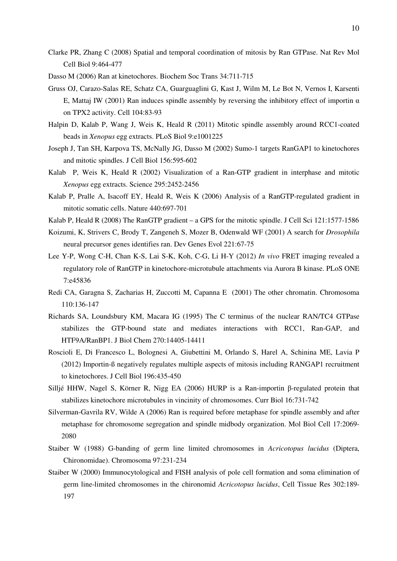- Clarke PR, Zhang C (2008) Spatial and temporal coordination of mitosis by Ran GTPase. Nat Rev Mol Cell Biol 9:464-477
- Dasso M (2006) Ran at kinetochores. Biochem Soc Trans 34:711-715
- Gruss OJ, Carazo-Salas RE, Schatz CA, Guarguaglini G, Kast J, Wilm M, Le Bot N, Vernos I, Karsenti E, Mattaj IW (2001) Ran induces spindle assembly by reversing the inhibitory effect of importin  $\alpha$ on TPX2 activity. Cell 104:83-93
- Halpin D, Kalab P, Wang J, Weis K, Heald R (2011) Mitotic spindle assembly around RCC1-coated beads in *Xenopus* egg extracts. PLoS Biol 9:e1001225
- Joseph J, Tan SH, Karpova TS, McNally JG, Dasso M (2002) Sumo-1 targets RanGAP1 to kinetochores and mitotic spindles. J Cell Biol 156:595-602
- Kalab P, Weis K, Heald R (2002) Visualization of a Ran-GTP gradient in interphase and mitotic *Xenopus* egg extracts. Science 295:2452-2456
- Kalab P, Pralle A, Isacoff EY, Heald R, Weis K (2006) Analysis of a RanGTP-regulated gradient in mitotic somatic cells. Nature 440:697-701
- Kalab P, Heald R (2008) The RanGTP gradient a GPS for the mitotic spindle. J Cell Sci 121:1577-1586
- Koizumi, K, Strivers C, Brody T, Zangeneh S, Mozer B, Odenwald WF (2001) A search for *Drosophila*  neural precursor genes identifies ran. Dev Genes Evol 221:67-75
- Lee Y-P, Wong C-H, Chan K-S, Lai S-K, Koh, C-G, Li H-Y (2012) *In vivo* FRET imaging revealed a regulatory role of RanGTP in kinetochore-microtubule attachments via Aurora B kinase. PLoS ONE 7:e45836
- Redi CA, Garagna S, Zacharias H, Zuccotti M, Capanna E (2001) The other chromatin. Chromosoma 110:136-147
- Richards SA, Loundsbury KM, Macara IG (1995) The C terminus of the nuclear RAN/TC4 GTPase stabilizes the GTP-bound state and mediates interactions with RCC1, Ran-GAP, and HTF9A/RanBP1. J Biol Chem 270:14405-14411
- Roscioli E, Di Francesco L, Bolognesi A, Giubettini M, Orlando S, Harel A, Schinina ME, Lavia P (2012) Importin-ß negatively regulates multiple aspects of mitosis including RANGAP1 recruitment to kinetochores. J Cell Biol 196:435-450
- Silljé HHW, Nagel S, Körner R, Nigg EA (2006) HURP is a Ran-importin β-regulated protein that stabilizes kinetochore microtubules in vincinity of chromosomes. Curr Biol 16:731-742
- Silverman-Gavrila RV, Wilde A (2006) Ran is required before metaphase for spindle assembly and after metaphase for chromosome segregation and spindle midbody organization. Mol Biol Cell 17:2069- 2080
- Staiber W (1988) G-banding of germ line limited chromosomes in *Acricotopus lucidus* (Diptera, Chironomidae). Chromosoma 97:231-234
- Staiber W (2000) Immunocytological and FISH analysis of pole cell formation and soma elimination of germ line-limited chromosomes in the chironomid *Acricotopus lucidus*, Cell Tissue Res 302:189- 197